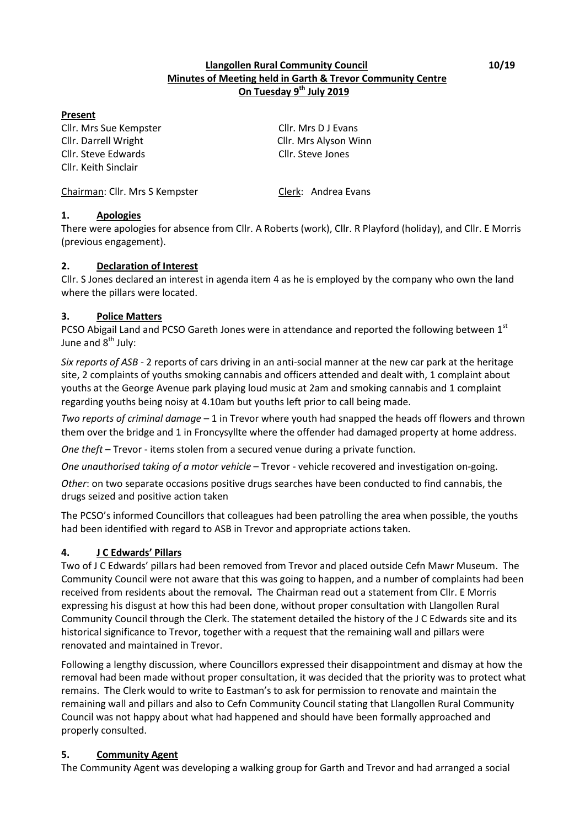### **Llangollen Rural Community Council 10/19 Minutes of Meeting held in Garth & Trevor Community Centre On Tuesday 9th July 2019**

#### **Present**

Cllr. Mrs Sue Kempster Cllr. Mrs D J Evans Cllr. Darrell Wright Cllr. Mrs Alyson Winn Cllr. Steve Edwards Cllr. Steve Jones Cllr. Keith Sinclair

Chairman: Cllr. Mrs S Kempster Clerk: Andrea Evans

# **1. Apologies**

There were apologies for absence from Cllr. A Roberts (work), Cllr. R Playford (holiday), and Cllr. E Morris (previous engagement).

### **2. Declaration of Interest**

Cllr. S Jones declared an interest in agenda item 4 as he is employed by the company who own the land where the pillars were located.

# **3. Police Matters**

PCSO Abigail Land and PCSO Gareth Jones were in attendance and reported the following between 1st June and  $8<sup>th</sup>$  July:

*Six reports of ASB* - 2 reports of cars driving in an anti-social manner at the new car park at the heritage site, 2 complaints of youths smoking cannabis and officers attended and dealt with, 1 complaint about youths at the George Avenue park playing loud music at 2am and smoking cannabis and 1 complaint regarding youths being noisy at 4.10am but youths left prior to call being made.

*Two reports of criminal damage* – 1 in Trevor where youth had snapped the heads off flowers and thrown them over the bridge and 1 in Froncysyllte where the offender had damaged property at home address.

*One theft* – Trevor - items stolen from a secured venue during a private function.

*One unauthorised taking of a motor vehicle* – Trevor - vehicle recovered and investigation on-going.

*Other*: on two separate occasions positive drugs searches have been conducted to find cannabis, the drugs seized and positive action taken

The PCSO's informed Councillors that colleagues had been patrolling the area when possible, the youths had been identified with regard to ASB in Trevor and appropriate actions taken.

### **4. J C Edwards' Pillars**

Two of J C Edwards' pillars had been removed from Trevor and placed outside Cefn Mawr Museum. The Community Council were not aware that this was going to happen, and a number of complaints had been received from residents about the removal**.** The Chairman read out a statement from Cllr. E Morris expressing his disgust at how this had been done, without proper consultation with Llangollen Rural Community Council through the Clerk. The statement detailed the history of the J C Edwards site and its historical significance to Trevor, together with a request that the remaining wall and pillars were renovated and maintained in Trevor.

Following a lengthy discussion, where Councillors expressed their disappointment and dismay at how the removal had been made without proper consultation, it was decided that the priority was to protect what remains. The Clerk would to write to Eastman's to ask for permission to renovate and maintain the remaining wall and pillars and also to Cefn Community Council stating that Llangollen Rural Community Council was not happy about what had happened and should have been formally approached and properly consulted.

### **5. Community Agent**

The Community Agent was developing a walking group for Garth and Trevor and had arranged a social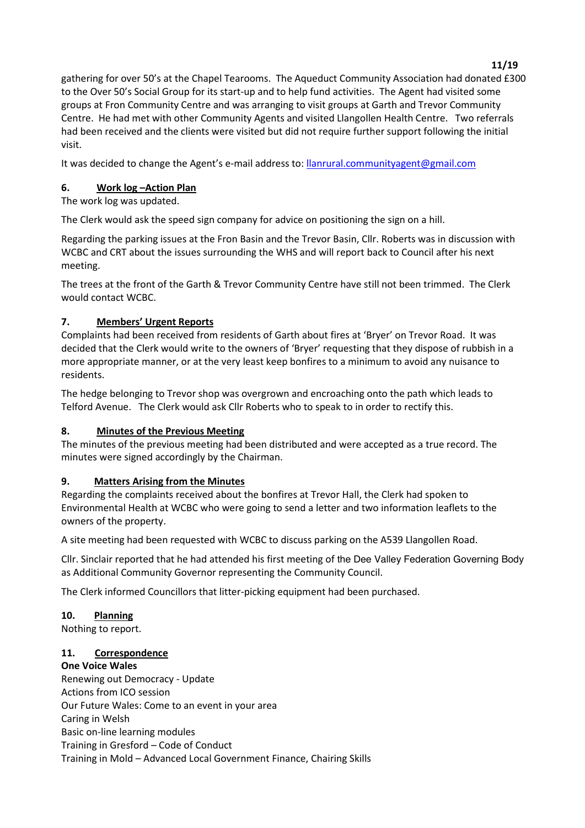gathering for over 50's at the Chapel Tearooms. The Aqueduct Community Association had donated £300 to the Over 50's Social Group for its start-up and to help fund activities. The Agent had visited some groups at Fron Community Centre and was arranging to visit groups at Garth and Trevor Community Centre. He had met with other Community Agents and visited Llangollen Health Centre. Two referrals had been received and the clients were visited but did not require further support following the initial visit.

It was decided to change the Agent's e-mail address to: llanrural.communityagent@gmail.com

### **6.** Work log - Action Plan

The work log was updated.

The Clerk would ask the speed sign company for advice on positioning the sign on a hill.

Regarding the parking issues at the Fron Basin and the Trevor Basin, Cllr. Roberts was in discussion with WCBC and CRT about the issues surrounding the WHS and will report back to Council after his next meeting.

The trees at the front of the Garth & Trevor Community Centre have still not been trimmed. The Clerk would contact WCBC.

# **7. Members͛ Urgent Reports**

Complaints had been received from residents of Garth about fires at 'Bryer' on Trevor Road. It was decided that the Clerk would write to the owners of 'Bryer' requesting that they dispose of rubbish in a more appropriate manner, or at the very least keep bonfires to a minimum to avoid any nuisance to residents.

The hedge belonging to Trevor shop was overgrown and encroaching onto the path which leads to Telford Avenue. The Clerk would ask Cllr Roberts who to speak to in order to rectify this.

### **8. Minutes of the Previous Meeting**

The minutes of the previous meeting had been distributed and were accepted as a true record. The minutes were signed accordingly by the Chairman.

### **9. Matters Arising from the Minutes**

Regarding the complaints received about the bonfires at Trevor Hall, the Clerk had spoken to Environmental Health at WCBC who were going to send a letter and two information leaflets to the owners of the property.

A site meeting had been requested with WCBC to discuss parking on the A539 Llangollen Road.

Cllr. Sinclair reported that he had attended his first meeting of the Dee Valley Federation Governing Body as Additional Community Governor representing the Community Council.

The Clerk informed Councillors that litter-picking equipment had been purchased.

### **10. Planning**

Nothing to report.

### **11. Correspondence**

**One Voice Wales** Renewing out Democracy - Update Actions from ICO session Our Future Wales: Come to an event in your area Caring in Welsh Basic on-line learning modules Training in Gresford – Code of Conduct Training in Mold - Advanced Local Government Finance, Chairing Skills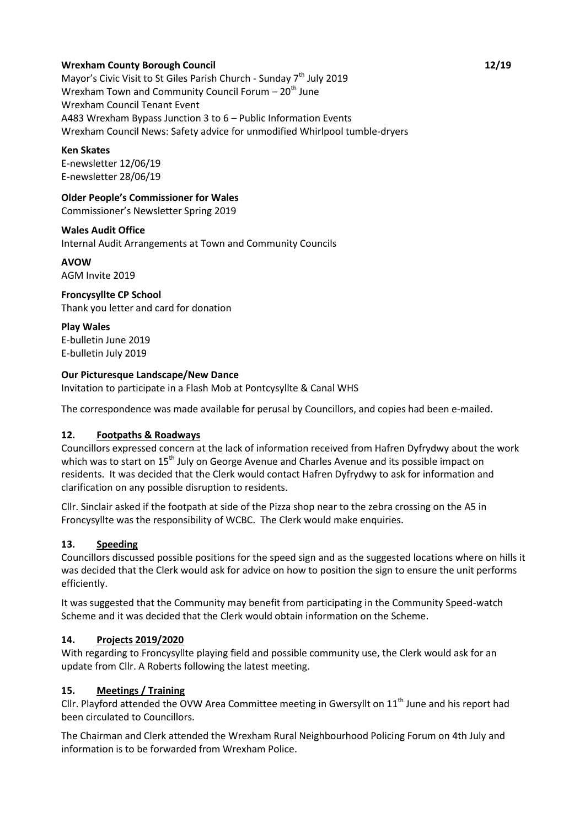### **Wrexham County Borough Council 12/19**

Mayor's Civic Visit to St Giles Parish Church - Sunday 7<sup>th</sup> July 2019 Wrexham Town and Community Council Forum  $-20<sup>th</sup>$  June Wrexham Council Tenant Event A483 Wrexham Bypass Junction 3 to  $6$  – Public Information Events Wrexham Council News: Safety advice for unmodified Whirlpool tumble-dryers

#### **Ken Skates**

E-newsletter 12/06/19 E-newsletter 28/06/19

**Older People's Commissioner for Wales** 

Commissioner's Newsletter Spring 2019

#### **Wales Audit Office**

Internal Audit Arrangements at Town and Community Councils

#### **AVOW**

AGM Invite 2019

#### **Froncysyllte CP School**

Thank you letter and card for donation

**Play Wales** E-bulletin June 2019 E-bulletin July 2019

#### **Our Picturesque Landscape/New Dance**

Invitation to participate in a Flash Mob at Pontcysyllte & Canal WHS

The correspondence was made available for perusal by Councillors, and copies had been e-mailed.

### **12. Footpaths & Roadways**

Councillors expressed concern at the lack of information received from Hafren Dyfrydwy about the work which was to start on 15<sup>th</sup> July on George Avenue and Charles Avenue and its possible impact on residents. It was decided that the Clerk would contact Hafren Dyfrydwy to ask for information and clarification on any possible disruption to residents.

Cllr. Sinclair asked if the footpath at side of the Pizza shop near to the zebra crossing on the A5 in Froncysyllte was the responsibility of WCBC. The Clerk would make enquiries.

### **13. Speeding**

Councillors discussed possible positions for the speed sign and as the suggested locations where on hills it was decided that the Clerk would ask for advice on how to position the sign to ensure the unit performs efficiently.

It was suggested that the Community may benefit from participating in the Community Speed-watch Scheme and it was decided that the Clerk would obtain information on the Scheme.

### **14. Projects 2019/2020**

With regarding to Froncysyllte playing field and possible community use, the Clerk would ask for an update from Cllr. A Roberts following the latest meeting.

### **15. Meetings / Training**

Cllr. Playford attended the OVW Area Committee meeting in Gwersyllt on 11<sup>th</sup> June and his report had been circulated to Councillors.

The Chairman and Clerk attended the Wrexham Rural Neighbourhood Policing Forum on 4th July and information is to be forwarded from Wrexham Police.